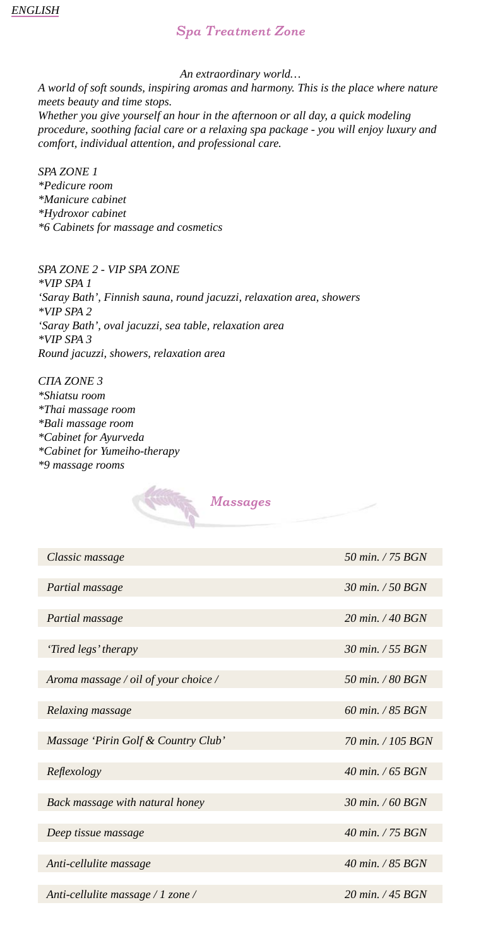# *Spa Treatment Zone*

*An extraordinary world…*

*A world of soft sounds, inspiring aromas and harmony. This is the place where nature meets beauty and time stops.* 

*Whether you give yourself an hour in the afternoon or all day, a quick modeling procedure, soothing facial care or a relaxing spa package - you will enjoy luxury and comfort, individual attention, and professional care.*

*SPA ZONE 1 \*Pedicure room \*Manicure cabinet \*Hydroxor cabinet \*6 Cabinets for massage and cosmetics*

*SPA ZONE 2 - VIP SPA ZONE \*VIP SPA 1 'Saray Bath', Finnish sauna, round jacuzzi, relaxation area, showers \*VIP SPA 2 'Saray Bath', oval jacuzzi, sea table, relaxation area \*VIP SPA 3 Round jacuzzi, showers, relaxation area*

*СПА ZONE 3 \*Shiatsu room \*Thai massage room \*Bali massage room \*Cabinet for Ayurveda \*Cabinet for Yumeiho-therapy \*9 massage rooms* 



| Classic massage                      | 50 min. $/$ 75 BGN |
|--------------------------------------|--------------------|
|                                      |                    |
| Partial massage                      | 30 min. / 50 BGN   |
|                                      |                    |
| Partial massage                      | 20 min. $/$ 40 BGN |
|                                      |                    |
| 'Tired legs' therapy                 | 30 min. / 55 BGN   |
|                                      |                    |
| Aroma massage / oil of your choice / | 50 min. / 80 BGN   |
|                                      |                    |
| Relaxing massage                     | 60 min. / 85 BGN   |
|                                      |                    |
| Massage 'Pirin Golf & Country Club'  | 70 min. / 105 BGN  |
|                                      |                    |
| Reflexology                          | 40 min. / 65 BGN   |
|                                      |                    |
| Back massage with natural honey      | 30 min. / 60 BGN   |
|                                      |                    |
| Deep tissue massage                  | 40 min. / 75 BGN   |
|                                      |                    |
| Anti-cellulite massage               | 40 min. / 85 BGN   |
|                                      |                    |
| Anti-cellulite massage / 1 zone /    | 20 min. / 45 BGN   |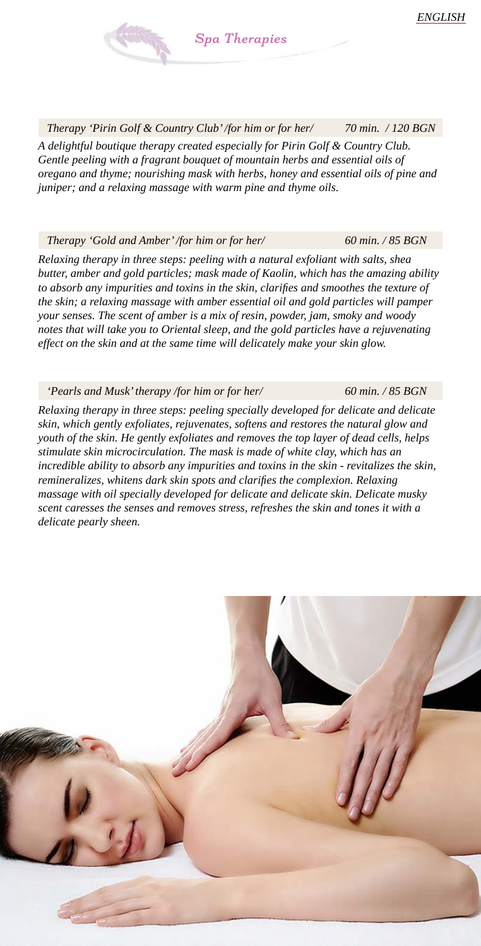*60 min. / 85 BGN*

 *60 min. / 85 BGN*

*Spa Therapies* 

 *Therapy 'Pirin Golf & Country Club' /for him оr for her/ 70 min. / 120 BGN A delightful boutique therapy created especially for Pirin Golf & Country Club. Gentle peeling with a fragrant bouquet of mountain herbs and essential oils of oregano and thyme; nourishing mask with herbs, honey and essential oils of pine and juniper; and a relaxing massage with warm pine and thyme oils.* 

### *Therapy 'Gold and Amber' /for him оr for her/*

*Relaxing therapy in three steps: peeling with a natural exfoliant with salts, shea butter, amber and gold particles; mask made of Kaolin, which has the amazing ability*  to absorb any impurities and toxins in the skin, clarifies and smoothes the texture of *the skin; a relaxing massage with amber essential oil and gold particles will pamper your senses. The scent of amber is a mix of resin, powder, jam, smoky and woody notes that will take you to Oriental sleep, and the gold particles have a rejuvenating effect on the skin and at the same time will delicately make your skin glow.*

 *'Pearls and Musk' therapy /for him оr for her/* 

*Relaxing therapy in three steps: peeling specially developed for delicate and delicate skin, which gently exfoliates, rejuvenates, softens and restores the natural glow and youth of the skin. He gently exfoliates and removes the top layer of dead cells, helps stimulate skin microcirculation. The mask is made of white clay, which has an incredible ability to absorb any impurities and toxins in the skin - revitalizes the skin, remineralizes, whitens dark skin spots and clarifies the complexion. Relaxing massage with oil specially developed for delicate and delicate skin. Delicate musky scent caresses the senses and removes stress, refreshes the skin and tones it with a delicate pearly sheen.* 

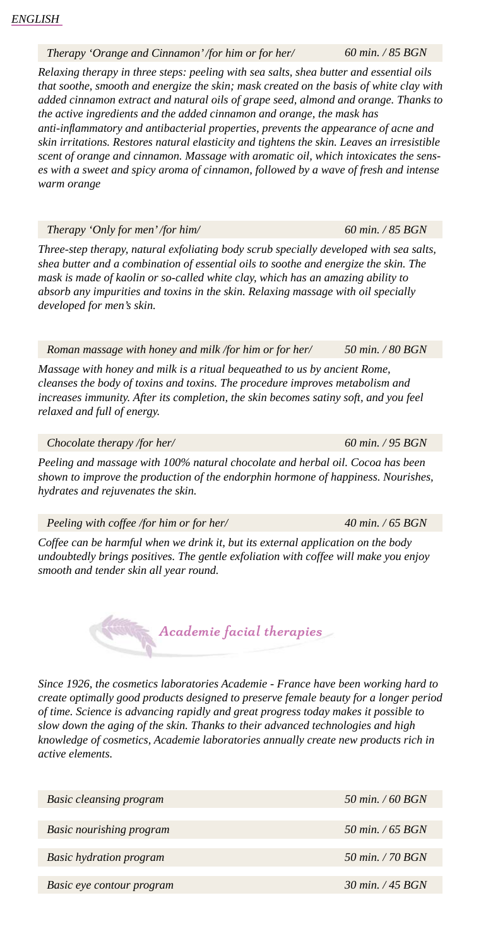### *Therapy 'Orange and Cinnamon' /for him оr for her/*

*Relaxing therapy in three steps: peeling with sea salts, shea butter and essential oils that soothe, smooth and energize the skin; mask created on the basis of white clay with added cinnamon extract and natural oils of grape seed, almond and orange. Thanks to the active ingredients and the added cinnamon and orange, the mask has anti-inflammatory and antibacterial properties, prevents the appearance of acne and skin irritations. Restores natural elasticity and tightens the skin. Leaves an irresistible* 

*scent of orange and cinnamon. Massage with aromatic oil, which intoxicates the senses with a sweet and spicy aroma of cinnamon, followed by a wave of fresh and intense warm orange*

 *Therapy 'Only for men' /for him/* 

*Three-step therapy, natural exfoliating body scrub specially developed with sea salts, shea butter and a combination of essential oils to soothe and energize the skin. The mask is made of kaolin or so-called white clay, which has an amazing ability to absorb any impurities and toxins in the skin. Relaxing massage with oil specially developed for men's skin.*

 *Roman massage with honey and milk /for him оr for her/ 50 min. / 80 BGN*

*Massage with honey and milk is a ritual bequeathed to us by ancient Rome, cleanses the body of toxins and toxins. The procedure improves metabolism and increases immunity. After its completion, the skin becomes satiny soft, and you feel relaxed and full of energy.*

 *Chocolate therapy /for her/* 

*Peeling and massage with 100% natural chocolate and herbal oil. Cocoa has been shown to improve the production of the endorphin hormone of happiness. Nourishes, hydrates and rejuvenates the skin.*

 *Peeling with coffee /for him оr for her/* 

*Coffee can be harmful when we drink it, but its external application on the body undoubtedly brings positives. The gentle exfoliation with coffee will make you enjoy smooth and tender skin all year round.*

*Since 1926, the cosmetics laboratories Academie - France have been working hard to create optimally good products designed to preserve female beauty for a longer period of time. Science is advancing rapidly and great progress today makes it possible to slow down the aging of the skin. Thanks to their advanced technologies and high knowledge of cosmetics, Academie laboratories annually create new products rich in active elements.*

*Academie facial therapies*

| <b>Basic cleansing program</b> | 50 min. / 60 BGN   |
|--------------------------------|--------------------|
|                                |                    |
| Basic nourishing program       | 50 min. $/$ 65 BGN |
|                                |                    |
| <b>Basic hydration program</b> | 50 min. / 70 BGN   |
|                                |                    |
| Basic eye contour program      | 30 min. / 45 BGN   |

 *60 min. / 85 BGN*

 *60 min. / 95 BGN*

 *40 min. / 65 BGN*